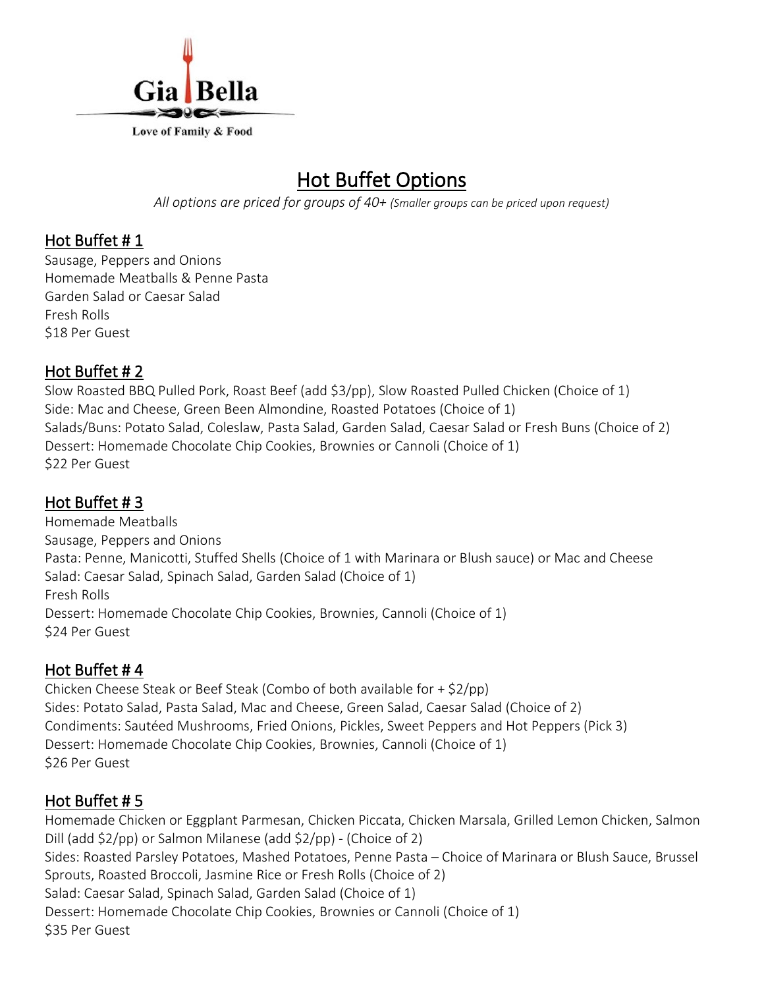

## Hot Buffet Options

*All options are priced for groups of 40+ (Smaller groups can be priced upon request)*

#### Hot Buffet # 1

Sausage, Peppers and Onions Homemade Meatballs & Penne Pasta Garden Salad or Caesar Salad Fresh Rolls \$18 Per Guest

#### Hot Buffet # 2

Slow Roasted BBQ Pulled Pork, Roast Beef (add \$3/pp), Slow Roasted Pulled Chicken (Choice of 1) Side: Mac and Cheese, Green Been Almondine, Roasted Potatoes (Choice of 1) Salads/Buns: Potato Salad, Coleslaw, Pasta Salad, Garden Salad, Caesar Salad or Fresh Buns (Choice of 2) Dessert: Homemade Chocolate Chip Cookies, Brownies or Cannoli (Choice of 1) \$22 Per Guest

## Hot Buffet # 3

Homemade Meatballs Sausage, Peppers and Onions Pasta: Penne, Manicotti, Stuffed Shells (Choice of 1 with Marinara or Blush sauce) or Mac and Cheese Salad: Caesar Salad, Spinach Salad, Garden Salad (Choice of 1) Fresh Rolls Dessert: Homemade Chocolate Chip Cookies, Brownies, Cannoli (Choice of 1) \$24 Per Guest

## Hot Buffet # 4

Chicken Cheese Steak or Beef Steak (Combo of both available for + \$2/pp) Sides: Potato Salad, Pasta Salad, Mac and Cheese, Green Salad, Caesar Salad (Choice of 2) Condiments: Sautéed Mushrooms, Fried Onions, Pickles, Sweet Peppers and Hot Peppers (Pick 3) Dessert: Homemade Chocolate Chip Cookies, Brownies, Cannoli (Choice of 1) \$26 Per Guest

## Hot Buffet # 5

Homemade Chicken or Eggplant Parmesan, Chicken Piccata, Chicken Marsala, Grilled Lemon Chicken, Salmon Dill (add \$2/pp) or Salmon Milanese (add \$2/pp) - (Choice of 2) Sides: Roasted Parsley Potatoes, Mashed Potatoes, Penne Pasta – Choice of Marinara or Blush Sauce, Brussel Sprouts, Roasted Broccoli, Jasmine Rice or Fresh Rolls (Choice of 2) Salad: Caesar Salad, Spinach Salad, Garden Salad (Choice of 1) Dessert: Homemade Chocolate Chip Cookies, Brownies or Cannoli (Choice of 1) \$35 Per Guest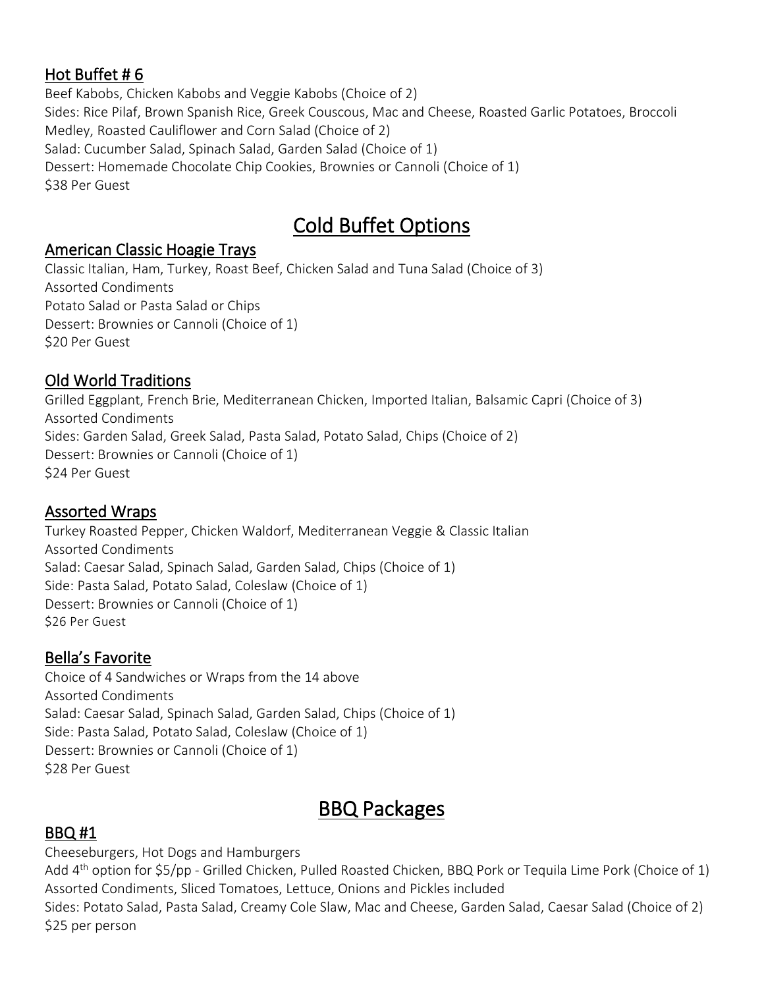## Hot Buffet # 6

Beef Kabobs, Chicken Kabobs and Veggie Kabobs (Choice of 2) Sides: Rice Pilaf, Brown Spanish Rice, Greek Couscous, Mac and Cheese, Roasted Garlic Potatoes, Broccoli Medley, Roasted Cauliflower and Corn Salad (Choice of 2) Salad: Cucumber Salad, Spinach Salad, Garden Salad (Choice of 1) Dessert: Homemade Chocolate Chip Cookies, Brownies or Cannoli (Choice of 1) \$38 Per Guest

# Cold Buffet Options

## American Classic Hoagie Trays

Classic Italian, Ham, Turkey, Roast Beef, Chicken Salad and Tuna Salad (Choice of 3) Assorted Condiments Potato Salad or Pasta Salad or Chips Dessert: Brownies or Cannoli (Choice of 1) \$20 Per Guest

## Old World Traditions

Grilled Eggplant, French Brie, Mediterranean Chicken, Imported Italian, Balsamic Capri (Choice of 3) Assorted Condiments Sides: Garden Salad, Greek Salad, Pasta Salad, Potato Salad, Chips (Choice of 2) Dessert: Brownies or Cannoli (Choice of 1) \$24 Per Guest

## Assorted Wraps

Turkey Roasted Pepper, Chicken Waldorf, Mediterranean Veggie & Classic Italian Assorted Condiments Salad: Caesar Salad, Spinach Salad, Garden Salad, Chips (Choice of 1) Side: Pasta Salad, Potato Salad, Coleslaw (Choice of 1) Dessert: Brownies or Cannoli (Choice of 1) \$26 Per Guest

## Bella's Favorite

Choice of 4 Sandwiches or Wraps from the 14 above Assorted Condiments Salad: Caesar Salad, Spinach Salad, Garden Salad, Chips (Choice of 1) Side: Pasta Salad, Potato Salad, Coleslaw (Choice of 1) Dessert: Brownies or Cannoli (Choice of 1) \$28 Per Guest

## BBQ Packages

## BBQ #1

Cheeseburgers, Hot Dogs and Hamburgers

Add 4<sup>th</sup> option for \$5/pp - Grilled Chicken, Pulled Roasted Chicken, BBQ Pork or Tequila Lime Pork (Choice of 1) Assorted Condiments, Sliced Tomatoes, Lettuce, Onions and Pickles included Sides: Potato Salad, Pasta Salad, Creamy Cole Slaw, Mac and Cheese, Garden Salad, Caesar Salad (Choice of 2) \$25 per person